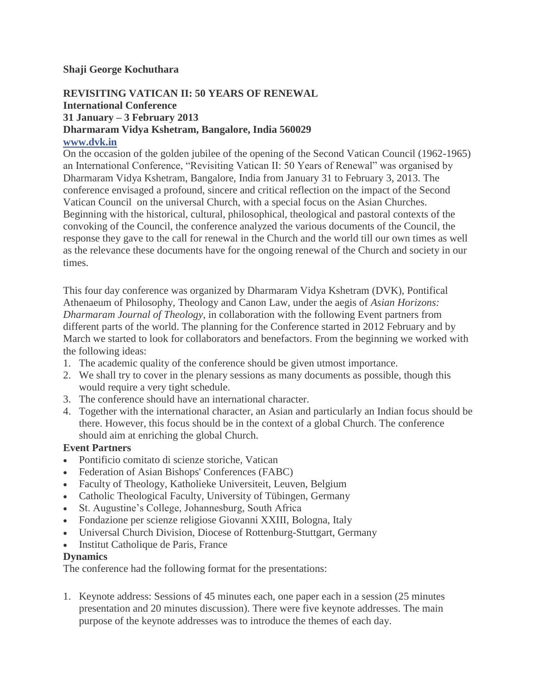# **Shaji George Kochuthara**

# **REVISITING VATICAN II: 50 YEARS OF RENEWAL International Conference 31 January – 3 February 2013 Dharmaram Vidya Kshetram, Bangalore, India 560029 [www.dvk.in](http://www.dvk.in/)**

On the occasion of the golden jubilee of the opening of the Second Vatican Council (1962-1965) an International Conference, "Revisiting Vatican II: 50 Years of Renewal" was organised by Dharmaram Vidya Kshetram, Bangalore, India from January 31 to February 3, 2013. The conference envisaged a profound, sincere and critical reflection on the impact of the Second Vatican Council on the universal Church, with a special focus on the Asian Churches. Beginning with the historical, cultural, philosophical, theological and pastoral contexts of the convoking of the Council, the conference analyzed the various documents of the Council, the response they gave to the call for renewal in the Church and the world till our own times as well as the relevance these documents have for the ongoing renewal of the Church and society in our times.

This four day conference was organized by Dharmaram Vidya Kshetram (DVK), Pontifical Athenaeum of Philosophy, Theology and Canon Law, under the aegis of *Asian Horizons: Dharmaram Journal of Theology*, in collaboration with the following Event partners from different parts of the world. The planning for the Conference started in 2012 February and by March we started to look for collaborators and benefactors. From the beginning we worked with the following ideas:

- 1. The academic quality of the conference should be given utmost importance.
- 2. We shall try to cover in the plenary sessions as many documents as possible, though this would require a very tight schedule.
- 3. The conference should have an international character.
- 4. Together with the international character, an Asian and particularly an Indian focus should be there. However, this focus should be in the context of a global Church. The conference should aim at enriching the global Church.

# **Event Partners**

- Pontificio comitato di scienze storiche, Vatican
- Federation of Asian Bishops' Conferences (FABC)
- Faculty of Theology, Katholieke Universiteit, Leuven, Belgium
- Catholic Theological Faculty, University of Tübingen, Germany
- St. Augustine's College, Johannesburg, South Africa
- Fondazione per scienze religiose Giovanni XXIII, Bologna, Italy
- Universal Church Division, Diocese of Rottenburg-Stuttgart, Germany
- Institut Catholique de Paris, France

# **Dynamics**

The conference had the following format for the presentations:

1. Keynote address: Sessions of 45 minutes each, one paper each in a session (25 minutes presentation and 20 minutes discussion). There were five keynote addresses. The main purpose of the keynote addresses was to introduce the themes of each day.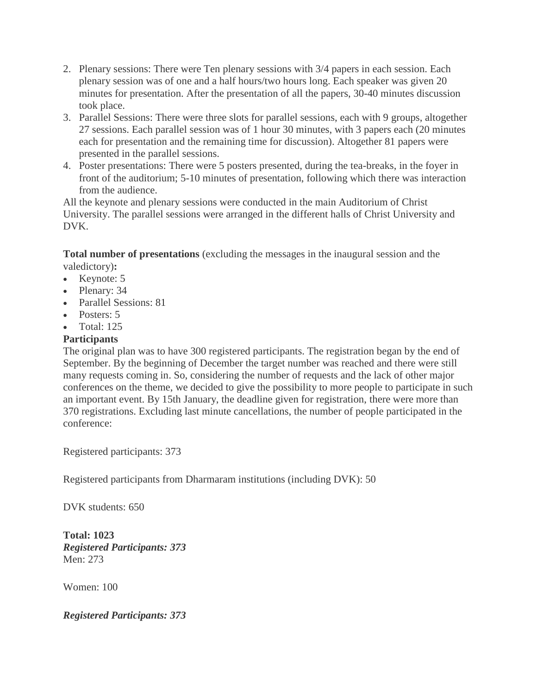- 2. Plenary sessions: There were Ten plenary sessions with 3/4 papers in each session. Each plenary session was of one and a half hours/two hours long. Each speaker was given 20 minutes for presentation. After the presentation of all the papers, 30-40 minutes discussion took place.
- 3. Parallel Sessions: There were three slots for parallel sessions, each with 9 groups, altogether 27 sessions. Each parallel session was of 1 hour 30 minutes, with 3 papers each (20 minutes each for presentation and the remaining time for discussion). Altogether 81 papers were presented in the parallel sessions.
- 4. Poster presentations: There were 5 posters presented, during the tea-breaks, in the foyer in front of the auditorium; 5-10 minutes of presentation, following which there was interaction from the audience.

All the keynote and plenary sessions were conducted in the main Auditorium of Christ University. The parallel sessions were arranged in the different halls of Christ University and DVK.

**Total number of presentations** (excluding the messages in the inaugural session and the valedictory)**:**

- $\bullet$  Keynote: 5
- Plenary: 34
- Parallel Sessions: 81
- Posters: 5
- Total: 125

# **Participants**

The original plan was to have 300 registered participants. The registration began by the end of September. By the beginning of December the target number was reached and there were still many requests coming in. So, considering the number of requests and the lack of other major conferences on the theme, we decided to give the possibility to more people to participate in such an important event. By 15th January, the deadline given for registration, there were more than 370 registrations. Excluding last minute cancellations, the number of people participated in the conference:

Registered participants: 373

Registered participants from Dharmaram institutions (including DVK): 50

DVK students: 650

**Total: 1023** *Registered Participants: 373* Men: 273

Women: 100

*Registered Participants: 373*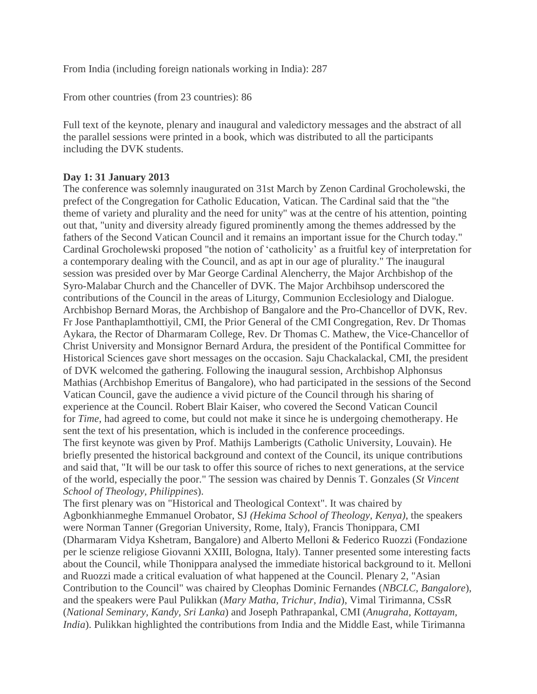From India (including foreign nationals working in India): 287

From other countries (from 23 countries): 86

Full text of the keynote, plenary and inaugural and valedictory messages and the abstract of all the parallel sessions were printed in a book, which was distributed to all the participants including the DVK students.

### **Day 1: 31 January 2013**

The conference was solemnly inaugurated on 31st March by Zenon Cardinal Grocholewski, the prefect of the Congregation for Catholic Education, Vatican. The Cardinal said that the "the theme of variety and plurality and the need for unity" was at the centre of his attention, pointing out that, "unity and diversity already figured prominently among the themes addressed by the fathers of the Second Vatican Council and it remains an important issue for the Church today." Cardinal Grocholewski proposed "the notion of 'catholicity' as a fruitful key of interpretation for a contemporary dealing with the Council, and as apt in our age of plurality." The inaugural session was presided over by Mar George Cardinal Alencherry, the Major Archbishop of the Syro-Malabar Church and the Chanceller of DVK. The Major Archbihsop underscored the contributions of the Council in the areas of Liturgy, Communion Ecclesiology and Dialogue. Archbishop Bernard Moras, the Archbishop of Bangalore and the Pro-Chancellor of DVK, Rev. Fr Jose Panthaplamthottiyil, CMI, the Prior General of the CMI Congregation, Rev. Dr Thomas Aykara, the Rector of Dharmaram College, Rev. Dr Thomas C. Mathew, the Vice-Chancellor of Christ University and Monsignor Bernard Ardura, the president of the Pontifical Committee for Historical Sciences gave short messages on the occasion. Saju Chackalackal, CMI, the president of DVK welcomed the gathering. Following the inaugural session, Archbishop Alphonsus Mathias (Archbishop Emeritus of Bangalore), who had participated in the sessions of the Second Vatican Council, gave the audience a vivid picture of the Council through his sharing of experience at the Council. Robert Blair Kaiser, who covered the Second Vatican Council for *Time*, had agreed to come, but could not make it since he is undergoing chemotherapy. He sent the text of his presentation, which is included in the conference proceedings. The first keynote was given by Prof. Mathijs Lamberigts (Catholic University, Louvain). He briefly presented the historical background and context of the Council, its unique contributions and said that, "It will be our task to offer this source of riches to next generations, at the service of the world, especially the poor." The session was chaired by Dennis T. Gonzales (*St Vincent School of Theology, Philippines*).

The first plenary was on "Historical and Theological Context". It was chaired by Agbonkhianmeghe Emmanuel Orobator, SJ *(Hekima School of Theology, Kenya)*, the speakers were Norman Tanner (Gregorian University, Rome, Italy), Francis Thonippara, CMI (Dharmaram Vidya Kshetram, Bangalore) and Alberto Melloni & Federico Ruozzi (Fondazione per le scienze religiose Giovanni XXIII, Bologna, Italy). Tanner presented some interesting facts about the Council, while Thonippara analysed the immediate historical background to it. Melloni and Ruozzi made a critical evaluation of what happened at the Council. Plenary 2, "Asian Contribution to the Council" was chaired by Cleophas Dominic Fernandes (*NBCLC, Bangalore*), and the speakers were Paul Pulikkan (*Mary Matha, Trichur, India*), Vimal Tirimanna, CSsR (*National Seminary, Kandy, Sri Lanka*) and Joseph Pathrapankal, CMI (*Anugraha, Kottayam, India*). Pulikkan highlighted the contributions from India and the Middle East, while Tirimanna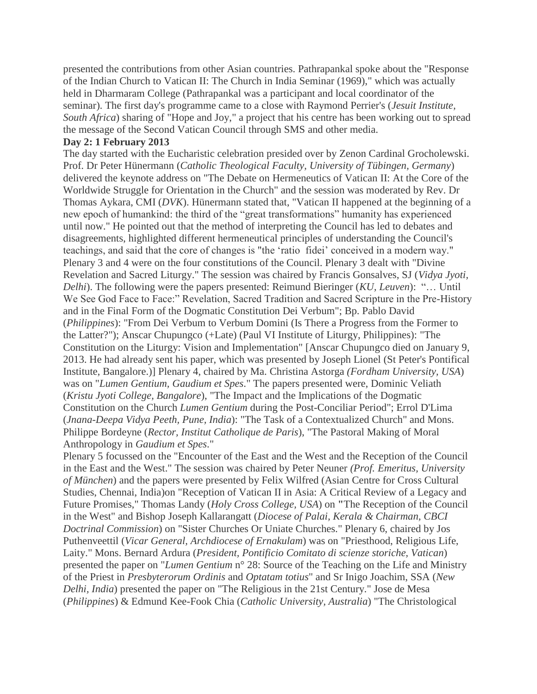presented the contributions from other Asian countries. Pathrapankal spoke about the "Response of the Indian Church to Vatican II: The Church in India Seminar (1969)," which was actually held in Dharmaram College (Pathrapankal was a participant and local coordinator of the seminar). The first day's programme came to a close with Raymond Perrier's (*Jesuit Institute, South Africa*) sharing of "Hope and Joy," a project that his centre has been working out to spread the message of the Second Vatican Council through SMS and other media.

### **Day 2: 1 February 2013**

The day started with the Eucharistic celebration presided over by Zenon Cardinal Grocholewski. Prof. Dr Peter Hünermann (*Catholic Theological Faculty, University of Tübingen, Germany*) delivered the keynote address on "The Debate on Hermeneutics of Vatican II: At the Core of the Worldwide Struggle for Orientation in the Church" and the session was moderated by Rev. Dr Thomas Aykara, CMI (*DVK*). Hünermann stated that, "Vatican II happened at the beginning of a new epoch of humankind: the third of the "great transformations" humanity has experienced until now." He pointed out that the method of interpreting the Council has led to debates and disagreements, highlighted different hermeneutical principles of understanding the Council's teachings, and said that the core of changes is "the 'ratio fidei' conceived in a modern way." Plenary 3 and 4 were on the four constitutions of the Council. Plenary 3 dealt with "Divine Revelation and Sacred Liturgy." The session was chaired by Francis Gonsalves, SJ (*Vidya Jyoti, Delhi*). The following were the papers presented: Reimund Bieringer (*KU, Leuven*): "… Until We See God Face to Face:" Revelation, Sacred Tradition and Sacred Scripture in the Pre-History and in the Final Form of the Dogmatic Constitution Dei Verbum"; Bp. Pablo David (*Philippines*): "From Dei Verbum to Verbum Domini (Is There a Progress from the Former to the Latter?"); Anscar Chupungco (+Late) (Paul VI Institute of Liturgy, Philippines): "The Constitution on the Liturgy: Vision and Implementation" [Anscar Chupungco died on January 9, 2013. He had already sent his paper, which was presented by Joseph Lionel (St Peter's Pontifical Institute, Bangalore.)] Plenary 4, chaired by Ma. Christina Astorga *(Fordham University, USA*) was on "*Lumen Gentium, Gaudium et Spes*." The papers presented were, Dominic Veliath (*Kristu Jyoti College, Bangalore*), "The Impact and the Implications of the Dogmatic Constitution on the Church *Lumen Gentium* during the Post-Conciliar Period"; Errol D'Lima (*Jnana-Deepa Vidya Peeth, Pune, India*): "The Task of a Contextualized Church" and Mons. Philippe Bordeyne (*Rector, Institut Catholique de Paris*), "The Pastoral Making of Moral Anthropology in *Gaudium et Spes*."

Plenary 5 focussed on the "Encounter of the East and the West and the Reception of the Council in the East and the West." The session was chaired by Peter Neuner *(Prof. Emeritus, University of München*) and the papers were presented by Felix Wilfred (Asian Centre for Cross Cultural Studies, Chennai, India)on "Reception of Vatican II in Asia: A Critical Review of a Legacy and Future Promises," Thomas Landy (*Holy Cross College, USA*) on **"**The Reception of the Council in the West" and Bishop Joseph Kallarangatt (*Diocese of Palai, Kerala & Chairman, CBCI Doctrinal Commission*) on "Sister Churches Or Uniate Churches." Plenary 6, chaired by Jos Puthenveettil (*Vicar General, Archdiocese of Ernakulam*) was on "Priesthood, Religious Life, Laity." Mons. Bernard Ardura (*President, Pontificio Comitato di scienze storiche, Vatican*) presented the paper on "*Lumen Gentium* n° 28: Source of the Teaching on the Life and Ministry of the Priest in *Presbyterorum Ordinis* and *Optatam totius*" and Sr Inigo Joachim, SSA (*New Delhi, India*) presented the paper on "The Religious in the 21st Century." Jose de Mesa (*Philippines*) & Edmund Kee-Fook Chia (*Catholic University, Australia*) "The Christological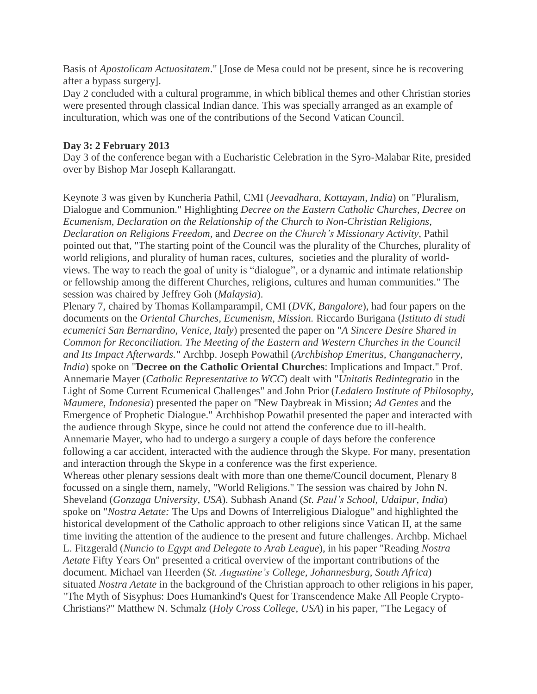Basis of *Apostolicam Actuositatem*." [Jose de Mesa could not be present, since he is recovering after a bypass surgery].

Day 2 concluded with a cultural programme, in which biblical themes and other Christian stories were presented through classical Indian dance. This was specially arranged as an example of inculturation, which was one of the contributions of the Second Vatican Council.

# **Day 3: 2 February 2013**

Day 3 of the conference began with a Eucharistic Celebration in the Syro-Malabar Rite, presided over by Bishop Mar Joseph Kallarangatt.

Keynote 3 was given by Kuncheria Pathil, CMI (*Jeevadhara, Kottayam, India*) on "Pluralism, Dialogue and Communion." Highlighting *Decree on the Eastern Catholic Churches, Decree on Ecumenism, Declaration on the Relationship of the Church to Non-Christian Religions, Declaration on Religions Freedom,* and *Decree on the Church's Missionary Activity,* Pathil pointed out that, "The starting point of the Council was the plurality of the Churches, plurality of world religions, and plurality of human races, cultures, societies and the plurality of worldviews. The way to reach the goal of unity is "dialogue", or a dynamic and intimate relationship or fellowship among the different Churches, religions, cultures and human communities." The session was chaired by Jeffrey Goh (*Malaysia*).

Plenary 7, chaired by Thomas Kollamparampil, CMI (*DVK, Bangalore*), had four papers on the documents on the *Oriental Churches, Ecumenism, Mission.* Riccardo Burigana (*Istituto di studi ecumenici San Bernardino, Venice, Italy*) presented the paper on "*A Sincere Desire Shared in Common for Reconciliation. The Meeting of the Eastern and Western Churches in the Council and Its Impact Afterwards."* Archbp. Joseph Powathil (*Archbishop Emeritus, Changanacherry, India*) spoke on "**Decree on the Catholic Oriental Churches**: Implications and Impact." Prof. Annemarie Mayer (*Catholic Representative to WCC*) dealt with "*Unitatis Redintegratio* in the Light of Some Current Ecumenical Challenges" and John Prior (*Ledalero Institute of Philosophy, Maumere, Indonesia*) presented the paper on "New Daybreak in Mission; *Ad Gentes* and the Emergence of Prophetic Dialogue." Archbishop Powathil presented the paper and interacted with the audience through Skype, since he could not attend the conference due to ill-health. Annemarie Mayer, who had to undergo a surgery a couple of days before the conference following a car accident, interacted with the audience through the Skype. For many, presentation and interaction through the Skype in a conference was the first experience. Whereas other plenary sessions dealt with more than one theme/Council document, Plenary 8 focussed on a single them, namely, "World Religions." The session was chaired by John N.

Sheveland (*Gonzaga University, USA*). Subhash Anand (*St. Paul's School, Udaipur, India*) spoke on "*Nostra Aetate:* The Ups and Downs of Interreligious Dialogue" and highlighted the historical development of the Catholic approach to other religions since Vatican II, at the same time inviting the attention of the audience to the present and future challenges. Archbp. Michael L. Fitzgerald (*Nuncio to Egypt and Delegate to Arab League*), in his paper "Reading *Nostra Aetate* Fifty Years On" presented a critical overview of the important contributions of the document. Michael van Heerden (*St. Augustine's College, Johannesburg, South Africa*) situated *Nostra Aetate* in the background of the Christian approach to other religions in his paper, "The Myth of Sisyphus: Does Humankind's Quest for Transcendence Make All People Crypto-Christians?" Matthew N. Schmalz (*Holy Cross College, USA*) in his paper, "The Legacy of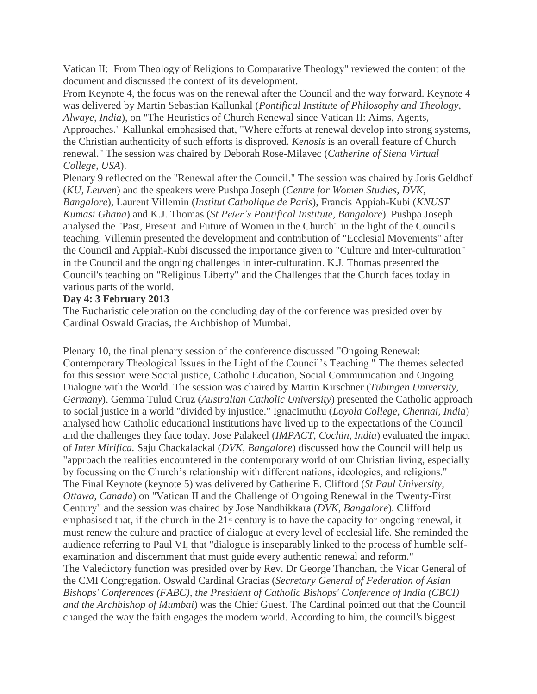Vatican II: From Theology of Religions to Comparative Theology" reviewed the content of the document and discussed the context of its development.

From Keynote 4, the focus was on the renewal after the Council and the way forward. Keynote 4 was delivered by Martin Sebastian Kallunkal (*Pontifical Institute of Philosophy and Theology, Alwaye, India*), on "The Heuristics of Church Renewal since Vatican II: Aims, Agents, Approaches." Kallunkal emphasised that, "Where efforts at renewal develop into strong systems, the Christian authenticity of such efforts is disproved. *Kenosis* is an overall feature of Church renewal." The session was chaired by Deborah Rose-Milavec (*Catherine of Siena Virtual College, USA*).

Plenary 9 reflected on the "Renewal after the Council." The session was chaired by Joris Geldhof (*KU, Leuven*) and the speakers were Pushpa Joseph (*Centre for Women Studies, DVK, Bangalore*), Laurent Villemin (*Institut Catholique de Paris*), Francis Appiah-Kubi (*KNUST Kumasi Ghana*) and K.J. Thomas (*St Peter's Pontifical Institute, Bangalore*). Pushpa Joseph analysed the "Past, Present and Future of Women in the Church" in the light of the Council's teaching. Villemin presented the development and contribution of "Ecclesial Movements" after the Council and Appiah-Kubi discussed the importance given to "Culture and Inter-culturation" in the Council and the ongoing challenges in inter-culturation. K.J. Thomas presented the Council's teaching on "Religious Liberty" and the Challenges that the Church faces today in various parts of the world.

# **Day 4: 3 February 2013**

The Eucharistic celebration on the concluding day of the conference was presided over by Cardinal Oswald Gracias, the Archbishop of Mumbai.

Plenary 10, the final plenary session of the conference discussed "Ongoing Renewal: Contemporary Theological Issues in the Light of the Council's Teaching." The themes selected for this session were Social justice, Catholic Education, Social Communication and Ongoing Dialogue with the World. The session was chaired by Martin Kirschner (*Tübingen University, Germany*). Gemma Tulud Cruz (*Australian Catholic University*) presented the Catholic approach to social justice in a world "divided by injustice." Ignacimuthu (*Loyola College, Chennai, India*) analysed how Catholic educational institutions have lived up to the expectations of the Council and the challenges they face today. Jose Palakeel (*IMPACT, Cochin, India*) evaluated the impact of *Inter Mirifica.* Saju Chackalackal (*DVK, Bangalore*) discussed how the Council will help us "approach the realities encountered in the contemporary world of our Christian living, especially by focussing on the Church's relationship with different nations, ideologies, and religions." The Final Keynote (keynote 5) was delivered by Catherine E. Clifford (*St Paul University, Ottawa, Canada*) on "Vatican II and the Challenge of Ongoing Renewal in the Twenty-First Century" and the session was chaired by Jose Nandhikkara (*DVK, Bangalore*). Clifford emphasised that, if the church in the  $21<sup>st</sup>$  century is to have the capacity for ongoing renewal, it must renew the culture and practice of dialogue at every level of ecclesial life. She reminded the audience referring to Paul VI, that "dialogue is inseparably linked to the process of humble selfexamination and discernment that must guide every authentic renewal and reform." The Valedictory function was presided over by Rev. Dr George Thanchan, the Vicar General of the CMI Congregation. Oswald Cardinal Gracias (*Secretary General of Federation of Asian Bishops' Conferences (FABC), the President of Catholic Bishops' Conference of India (CBCI) and the Archbishop of Mumbai*) was the Chief Guest. The Cardinal pointed out that the Council changed the way the faith engages the modern world. According to him, the council's biggest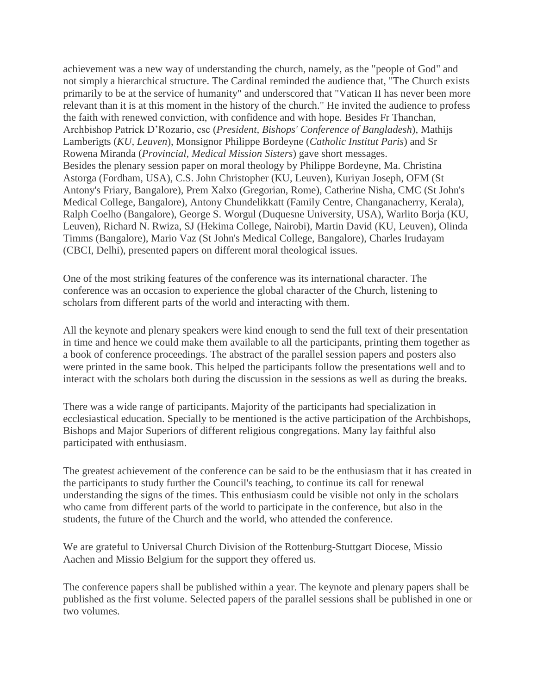achievement was a new way of understanding the church, namely, as the "people of God" and not simply a hierarchical structure. The Cardinal reminded the audience that, "The Church exists primarily to be at the service of humanity" and underscored that "Vatican II has never been more relevant than it is at this moment in the history of the church." He invited the audience to profess the faith with renewed conviction, with confidence and with hope. Besides Fr Thanchan, Archbishop Patrick D'Rozario, csc (*President, Bishops' Conference of Bangladesh*), Mathijs Lamberigts (*KU, Leuven*), Monsignor Philippe Bordeyne (*Catholic Institut Paris*) and Sr Rowena Miranda (*Provincial, Medical Mission Sisters*) gave short messages. Besides the plenary session paper on moral theology by Philippe Bordeyne, Ma. Christina Astorga (Fordham, USA), C.S. John Christopher (KU, Leuven), Kuriyan Joseph, OFM (St Antony's Friary, Bangalore), Prem Xalxo (Gregorian, Rome), Catherine Nisha, CMC (St John's Medical College, Bangalore), Antony Chundelikkatt (Family Centre, Changanacherry, Kerala), Ralph Coelho (Bangalore), George S. Worgul (Duquesne University, USA), Warlito Borja (KU, Leuven), Richard N. Rwiza, SJ (Hekima College, Nairobi), Martin David (KU, Leuven), Olinda Timms (Bangalore), Mario Vaz (St John's Medical College, Bangalore), Charles Irudayam (CBCI, Delhi), presented papers on different moral theological issues.

One of the most striking features of the conference was its international character. The conference was an occasion to experience the global character of the Church, listening to scholars from different parts of the world and interacting with them.

All the keynote and plenary speakers were kind enough to send the full text of their presentation in time and hence we could make them available to all the participants, printing them together as a book of conference proceedings. The abstract of the parallel session papers and posters also were printed in the same book. This helped the participants follow the presentations well and to interact with the scholars both during the discussion in the sessions as well as during the breaks.

There was a wide range of participants. Majority of the participants had specialization in ecclesiastical education. Specially to be mentioned is the active participation of the Archbishops, Bishops and Major Superiors of different religious congregations. Many lay faithful also participated with enthusiasm.

The greatest achievement of the conference can be said to be the enthusiasm that it has created in the participants to study further the Council's teaching, to continue its call for renewal understanding the signs of the times. This enthusiasm could be visible not only in the scholars who came from different parts of the world to participate in the conference, but also in the students, the future of the Church and the world, who attended the conference.

We are grateful to Universal Church Division of the Rottenburg-Stuttgart Diocese, Missio Aachen and Missio Belgium for the support they offered us.

The conference papers shall be published within a year. The keynote and plenary papers shall be published as the first volume. Selected papers of the parallel sessions shall be published in one or two volumes.